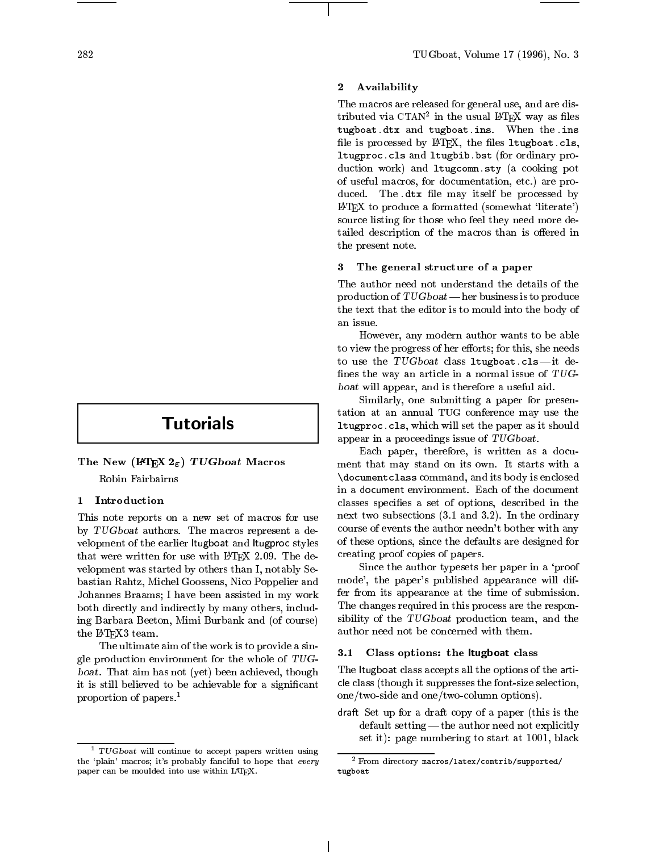# **Tutorials**

The New (IATEX  $2\varepsilon$ ) TUGboat Macros

Robin Fairbairns

# 1 Introduction

This note reports on a new set of macros for use by TUGboat authors. The macros represent a de velopment of the earlier ltugboat and ltugproc styles that were written for use with LATFX 2.09. The development was started by others than I, notably Sebastian Rahtz, Michel Goossens, Nico Poppelier and Johannes Braams; I have been assisted in my work both directly and indirectly by many others, including Barbara Beeton, Mimi Burbank and (of course) the I<sup>A</sup>TEX3 team.

The ultimate aim of the work is to provide a single production environment for the whole of TUGboat. That aim has not (yet) been achieved, though it is still believed to be achievable for a significant proportion of papers.<sup>1</sup>

#### $\overline{2}$ **Availability**

The macros are released for general use, and are dis $t$ rributed via CTAN- in the usual LATEX way as hies tugboat.dtx and tugboat.ins. When the .ins file is processed by  $L^2E^X$ , the files ltugboat.cls, ltugproc.cls and ltugbib.bst (for ordinary production work) and ltugcomn.sty (a cooking pot of useful macros, for documentation, etc.) are produced. The .dtx file may itself be processed by  $\LaTeX\ to\ produce\ a\ formatted\ (somewhat\ 'literate')$ source listing for those who feel they need more detailed description of the macros than is offered in the present note.

# 3 The general structure of a paper

The author need not understand the details of the production of  $TUGboat$  - her business is to produce the text that the editor is to mould into the body of an issue.

However, any modern author wants to be able to view the progress of her efforts; for this, she needs to use the  $TUGboat$  class ltugboat.cls-it defines the way an article in a normal issue of  $TUG$ boat will appear, and is therefore a useful aid.

Similarly, one submitting a paper for presentation at an annual TUG conference may use the ltugproc.cls, which will set the paper as it should appear in a proceedings issue of TUGboat.

Each paper, therefore, is written as a document that may stand on its own. It starts with a \documentclass command, and its body is enclosed in a document environment. Each of the document classes species a set of options, described in the next two subsections (3.1 and 3.2). In the ordinary course of events the author needn't bother with any of these options, since the defaults are designed for creating proof copies of papers.

Since the author typesets her paper in a `proof mode', the paper's published appearance will differ from its appearance at the time of submission. The changes required in this process are the responsibility of the TUGboat production team, and the author need not be concerned with them.

# 3.1 Class options: the ltugboat class

The ltugboat class accepts all the options of the article class (though it suppresses the font-size selection, one/two-side and one/two-column options).

draft Set up for a draft copy of a paper (this is the  $\sim$ default setting  $-\text{the author need not explicitly}$ set it): page numbering to start at 1001, black

<sup>1</sup> TUGboat will continue to accept papers written using the 'plain' macros; it's probably fanciful to hope that every paper can be moulded into use within LAT<sub>EX</sub>.

<sup>2</sup> From directory macros/latex/contrib/supported/ tugboat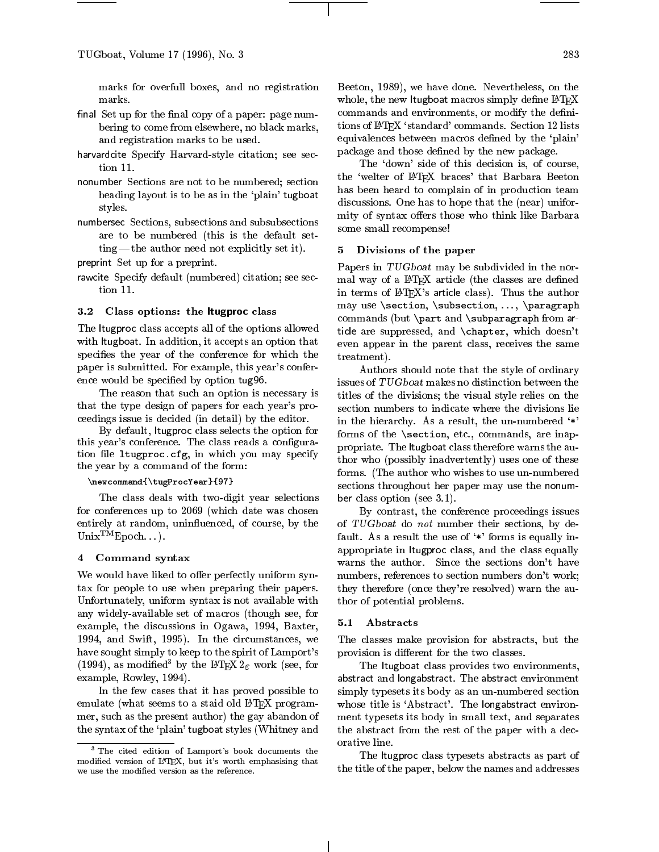marks for overfull boxes, and no registration

- nal set up for the copy of a page of page  $\sim$ bering to come from elsewhere, no black marks, and registration marks to be used.
- harvardcite Specify Harvard-style citation; see sec-
- nonumber sections are not to be numbered; sections are not to be numbered; sections are numbered; sections and heading layout is to be as in the `plain' tugboat styles.
- numbers subsections, subsequential subsubsections and subsections and subsections and subsections and subsections of  $\mathcal{S}$ are to be numbered (this is the default set $ting$  the author need not explicitly set it).
- preprint Set up for a preprint.
- rawcite Specify default (numbered) citation; see section 11.

# 3.2 Class options: the ltugproc class

The ltugproc class accepts all of the options allowed with ltugboat. In addition, it accepts an option that specifies the year of the conference for which the paper is submitted. For example, this year's conference would be specied by option tug96.

The reason that such an option is necessary is that the type design of papers for each year's proceedings issue is decided (in detail) by the editor.

By default, ltugproc class selects the option for this year's conference. The class reads a configuration file 1tugproc.cfg, in which you may specify the year by a command of the form:

### \newcommand{\tugProcYear}{97}

The class deals with two-digit year selections for conferences up to 2069 (which date was chosen entirely at random, uninfluenced, of course, by the  $Unix^{TM}Epoch...$ ).

# 4 Command syntax

We would have liked to offer perfectly uniform syntax for people to use when preparing their papers. Unfortunately, uniform syntax is not available with any widely-available set of macros (though see, for<br>  $\alpha$ xymple, the discussions in Osawa, 1994, Baxter  $5.1$ example, the discussions in Ogawa, 1994, Baxter, 1994, and Swift, 1995). In the circumstances, we have sought simply to keep to the spirit of Lamport's (1994), as modified<sup>3</sup> by the LAT<sub>E</sub>X 2<sub> $\epsilon$ </sub> work (see, for example, Rowley, 1994).

In the few cases that it has proved possible to emulate (what seems to a staid old LAT<sub>EX</sub> programmer, such as the present author) the gay abandon of the syntax of the `plain' tugboat styles (Whitney and

Beeton, 1989), we have done. Nevertheless, on the whole, the new ltugboat macros simply define IATEX commands and environments, or modify the definitions of LATEX `standard' commands. Section 12 lists equivalences between macros defined by the 'plain' package and those defined by the new package.

The 'down' side of this decision is, of course, the 'welter of LATEX braces' that Barbara Beeton has been heard to complain of in production team discussions. One has to hope that the (near) uniformity of syntax offers those who think like Barbara some small recompense!

# 5 Divisions of the paper

Papers in TUGboat may be subdivided in the normal way of a IATEX article (the classes are defined in terms of LATEX's article class). Thus the author may use \section, \subsection, ..., \paragraph commands (but \part and \subparagraph from article are suppressed, and \chapter, which doesn't even appear in the parent class, receives the same treatment).

Authors should note that the style of ordinary issues of TUGboat makes no distinction between the titles of the divisions; the visual style relies on the section numbers to indicate where the divisions lie in the hierarchy. As a result, the un-numbered  $'$ \*' forms of the \section, etc., commands, are inappropriate. The ltugboat class therefore warns the author who (possibly inadvertently) uses one of these forms. (The author who wishes to use un-numbered sections throughout her paper may use the nonumber class option (see 3.1).

By contrast, the conference proceedings issues of TUGboat do not number their sections, by default. As a result the use of `\*' forms is equally inappropriate in ltugproc class, and the class equally warns the author. Since the sections don't have numbers, references to section numbers don't work; they therefore (once they're resolved) warn the author of potential problems.

# **Abstracts**

The classes make provision for abstracts, but the provision is different for the two classes.

The ltugboat class provides two environments, abstract and longabilities and distribution and abstract environment. simply typesets its body as an un-numbered section whose title is 'Abstract'. The longabstract environment typesets its body in small text, and separates the abstract from the rest of the paper with a decorative line.

The ltugproc class typesets abstracts as part of the title of the paper, below the names and addresses

<sup>&</sup>lt;sup>3</sup> The cited edition of Lamport's book documents the modied version of LATEX, but it's worth emphasising that we use the modied version as the reference.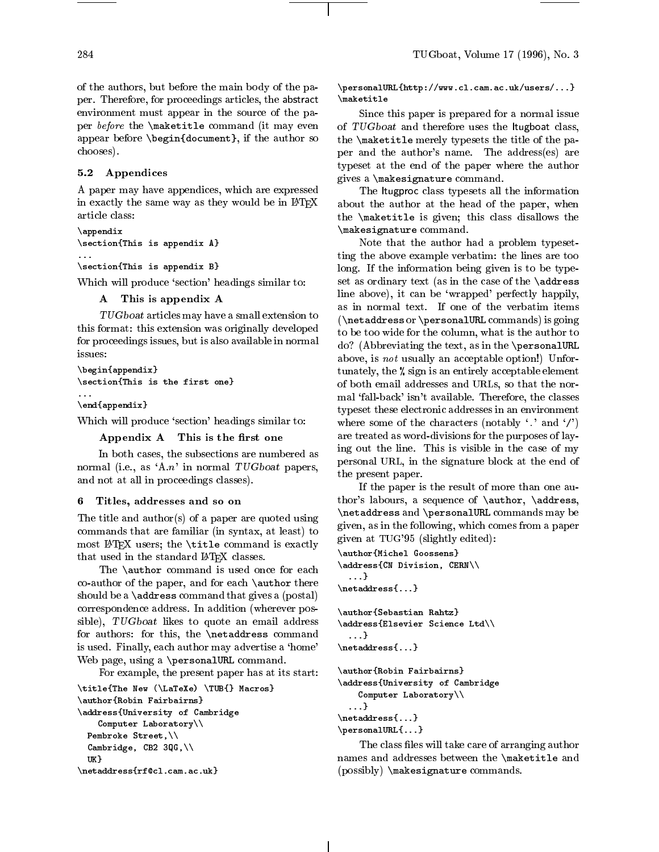of the authors, but before the main body of the paper. Therefore, for proceedings articles, the abstract environment must appear in the source of the paper before the \maketitle command (it may even appear before \begin{document}, if the author so chooses).

# 5.2 Appendices

A paper may have appendices, which are expressed in exactly the same way as they would be in LATEX article class:

```
\appendix
\section{This is appendix A}
...
\section{This is appendix B}
```
Which will produce 'section' headings similar to:

```
A This is appendix A
```
TUGboat articles may have a small extension to this format: this extension was originally developed for proceedings issues, but is also available in normal issues:

```
\begin{appendix}
\section{This is the first one}
\ddotsc
```
\end{appendix}

Which will produce 'section' headings similar to:

Appendix A This is the first one

In both cases, the subsections are numbered as normal (i.e., as 'A.n' in normal  $TUGboat$  papers, and not at all in proceedings classes).

#### 6 Titles, addresses and so on 6

The title and author(s) of a paper are quoted using commands that are familiar (in syntax, at least) to most LATEX users; the \title command is exactly that used in the standard LATFX classes.

The **\author** command is used once for each co-author of the paper, and for each \author there should be a \address command that gives a (postal) correspondence address. In addition (wherever possible), TUGboat likes to quote an email address for authors: for this, the \netaddress command is used. Finally, each author may advertise a 'home' Web page, using a \personalURL command.

For example, the present paper has at its start:

```
\title{The New (\LaTeXe) \TUB{} Macros}
\author{Robin Fairbairns}
\address{University of Cambridge
      Computer Laboratory\\
  Pembroke Street,\\
  Cambridge, CB2 3QG,\\
   UK<sub>1</sub>
   uka mengenai kalendar dan mengenai kalendar dan mengenai kalendar dan mengenai kalendar dan mengenai kalendar
\netaddress{rf@cl.cam.ac.uk}
```
\personalURL{http://www.cl.cam.ac.uk/users/...} \maketitle

Since this paper is prepared for a normal issue of TUGboat and therefore uses the ltugboat class, the \maketitle merely typesets the title of the paper and the author's name. The address(es) are typeset at the end of the paper where the author gives a \makesignature command.

The ltugproc class typesets all the information about the author at the head of the paper, when the \maketitle is given; this class disallows the \makesignature command.

Note that the author had a problem typesetting the above example verbatim: the lines are too long. If the information being given is to be typeset as ordinary text (as in the case of the \address line above), it can be `wrapped' perfectly happily, as in normal text. If one of the verbatim items (\netaddress or \personalURL commands) is going to be too wide for the column, what is the author to do? (Abbreviating the text, as in the \personalURL above, is *not* usually an acceptable option!) Unfortunately, the % sign is an entirely acceptable element of both email addresses and URLs, so that the normal `fall-back' isn't available. Therefore, the classes typeset these electronic addresses in an environment where some of the characters (notably  $\langle \cdot \rangle$  and  $\langle \cdot \rangle$ ) are treated as word-divisions for the purposes of laying out the line. This is visible in the case of my personal URL, in the signature block at the end of the present paper.

If the paper is the result of more than one author's labours, a sequence of \author, \address, \netaddress and \personalURL commands may be given, as in the following, which comes from a paper given at TUG'95 (slightly edited):

```
\author{Michel Goossens}
\address{CN Division, CERN\\
  ...}
\netaddress{...}
\author{Sebastian Rahtz}
\address{Elsevier Science Ltd\\
  ...}
\netaddress{...}
\author{Robin Fairbairns}
\address{University of Cambridge
   Computer Laboratory\\
  ...}
\netaddress{...}
\personalURL{...}
```
The class files will take care of arranging author names and addresses between the \maketitle and (possibly) \makesignature commands.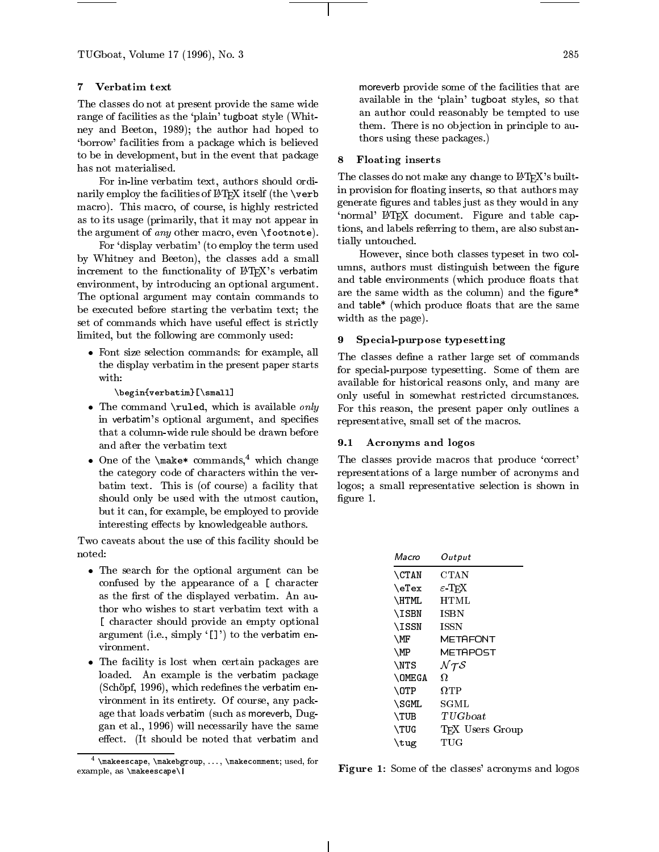TUGboat, Volume 17 (1996), No. 3

#### $\overline{7}$ Verbatim text

The classes do not at present provide the same wide range of facilities as the 'plain' tugboat style (Whitney and Beeton, 1989); the author had hoped to `borrow' facilities from a package which is believed to be in development, but in the event that package  $\begin{array}{c} \text{8} \end{array}$ has not materialised.

For in-line verbatim text, authors should ordinarily employ the facilities of LATEX itself (the \verb macro). This macro, of course, is highly restricted as to its usage (primarily, that it may not appear in the argument of *any* other macro, even  $\footnotesize\big\}$  tootnote).

For `display verbatim' (to employ the term used by Whitney and Beeton), the classes add a small increment to the functionality of IATFX's verbatim environment, by introducing an optional argument. The optional argument may contain commands to be executed before starting the verbatim text; the set of commands which have useful effect is strictly limited, but the following are commonly used:

 Font size selection commands: for example, all the display verbatim in the present paper starts with:

\begin{verbatim}[\small]

- $\bullet$  The command \ruled, which is available only in verbatim's optional argument, and specifies that a column-wide rule should be drawn before and after the verbatim text
- One of the  $\mathsf{make*}$  commands,<sup>4</sup> which change the category code of characters within the verbatim text. This is (of course) a facility that should only be used with the utmost caution, but it can, for example, be employed to provide interesting effects by knowledgeable authors.

Two caveats about the use of this facility should be noted:

- The search for the optional argument can be confused by the appearance of a [ character as the first of the displayed verbatim. An author who wishes to start verbatim text with a [ character should provide an empty optional argument (i.e., simply  $'[]')$  to the verbatim environment.
- The facility is lost when certain packages are loaded. An example is the verbatim package  $(Sch\ddot{o}pf, 1996)$ , which redefines the verbatim environment in its entirety. Of course, any package that loads verbatim (such as moreverb, Duggan et al., 1996) will necessarily have the same effect. (It should be noted that verbatim and

more verb provide some of the facilities that are the facilities that are are are are are as an area of the facilities of the second state of the second state of the second state of the second state of the second state of available in the `plain' tugboat styles, so that an author could reasonably be tempted to use them. There is no objection in principle to authors using these packages.)

# 8 Floating inserts

The classes do not make any change to LATEX's builtin provision for floating inserts, so that authors may generate figures and tables just as they would in any 'normal' LAT<sub>EX</sub> document. Figure and table captions, and labels referring to them, are also substantially untouched.

However, since both classes typeset in two columns, authors must distinguish between the figure and table environments (which produce floats that are the same width as the column) and the figure\* and table\* (which produce floats that are the same width as the page).

# 9 Special-purpose typesetting

The classes define a rather large set of commands for special-purpose typesetting. Some of them are available for historical reasons only, and many are only useful in somewhat restricted circumstances. For this reason, the present paper only outlines a representative, small set of the macros.

# 9.1 Acronyms and logos

The classes provide macros that produce 'correct' representations of a large number of acronyms and logos; a small representative selection is shown in figure 1.

| Macro           | Output                          |
|-----------------|---------------------------------|
| <b>CTAN</b>     | CTAN                            |
| $\text{elex}$   | $\varepsilon$ -T <sub>F</sub> X |
| \HTML           | HTML                            |
| <b>\ISBN</b>    | <b>ISBN</b>                     |
| <b>\ISSN</b>    | ISSN                            |
| \MF             | METAFONT                        |
| \MP             | METAPOST                        |
| <b>NTS</b>      | $N \tau \mathcal{S}$            |
| <b>OMEGA</b>    | Ω                               |
| $\setminus$ OTP | $\Omega$ tp                     |
| \SGML           | SGML                            |
| \TUB            | TUGboat                         |
| \TUG            | TFX Users Group                 |
| \tug            | TUG                             |

Figure 1: Some of the classes' acronyms and logos

 $\mathcal{A}$  . That expansion  $\mathcal{A}$  . ..,  $\mathcal{A}$  are comment; used, for  $\mathcal{A}$ example, as \makeescape\|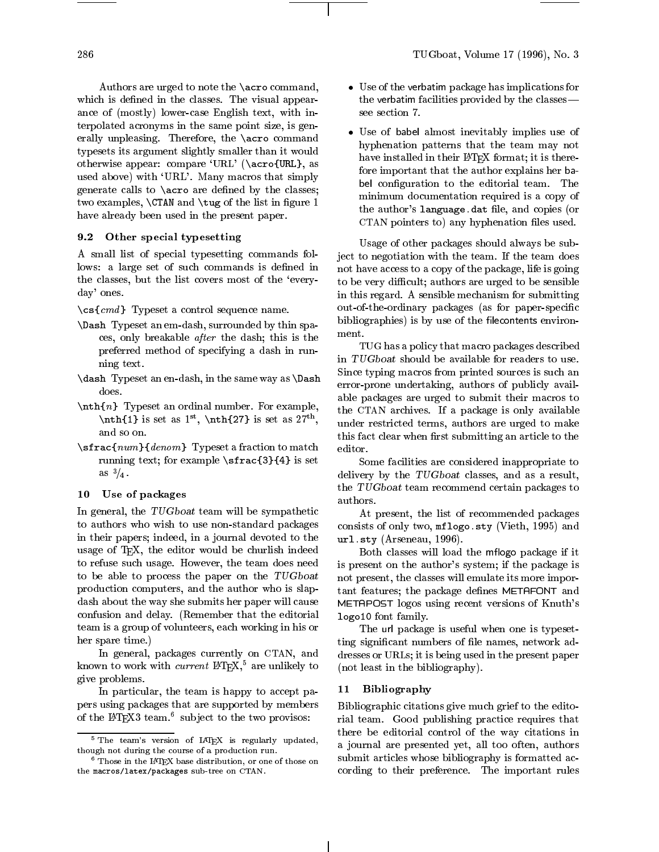Authors are urged to note the \acro command, which is defined in the classes. The visual appearance of (mostly) lower-case English text, with interpolated acronyms in the same point size, is generally unpleasing. Therefore, the \acro command typesets its argument slightly smaller than it would otherwise appear: compare `URL' (\acro{URL}, as used above) with 'URL'. Many macros that simply generate calls to  $\arccos$  are defined by the classes; two examples,  $\CTAN$  and  $\t{tug}$  of the list in figure 1 have already been used in the present paper.

# 9.2 Other special typesetting

A small list of special typesetting commands follows: a large set of such commands is defined in the classes, but the list covers most of the `everyday' ones.

 $\csc{cmd}$  Typeset a control sequence name.

- \Dash Typeset an em-dash, surrounded by thin spaces, only breakable after the dash; this is the preferred method of specifying a dash in running text.
- \dash Typeset an en-dash, in the same way as \Dash does.
- $\n\mathbf{n}$  Typeset an ordinal number. For example,  $\int$ nth $\{1\}$  is set as 1<sup>st</sup>,  $\int$ nth $\{27\}$  is set as 27<sup>th</sup>,  $\int$ <sub>11n</sub> and so on.
- \sfrac{num}{denom} Typeset a fraction to match running text; for example \sfrac{3}{4} is set as  $\frac{3}{4}$ .

# 10 Use of packages

In general, the TUGboat team will be sympathetic to authors who wish to use non-standard packages in their papers; indeed, in a journal devoted to the usage of TEX, the editor would be churlish indeed to refuse such usage. However, the team does need to be able to process the paper on the TUGboat production computers, and the author who is slapdash about the way she submits her paper will cause confusion and delay. (Remember that the editorial team is a group of volunteers, each working in his or her spare time.)

In general, packages currently on CTAN, and known to work with *current*  $LATEX$ ,<sup>5</sup> are unlikely to give problems.

In particular, the team is happy to accept papers using packages that are supported by members of the LATEX3 team. Subject to the two provisos:

- Use of the verbatim package has implications for the verbatim facilities provided by the classes| see section 7.
- Use of babel almost inevitably implies use of hyphenation patterns that the team maynot have installed in their LATEX format; it is therefore important that the author explains her ba- $\bullet$  coning did to the editorial team. The editorial team  $\bullet$ minimum documentation required is a copy of the author's language dat file, and copies (or CTAN pointers to) any hyphenation files used.

Usage of other packages should always be subject to negotiation with the team. If the team does not have access to a copy of the package, life is going to be very difficult; authors are urged to be sensible in this regard. A sensible mechanism for submitting out-of-the-ordinary packages (as for paper-specific bibliographies) is by use of the filecontents environment.

, under restricted terms, authors are urged to make TUG has a policy that macro packages described in TUGboat should be available for readers to use. Since typing macros from printed sources is such an error-prone undertaking, authors of publicly available packages are urged to submit their macros to the CTAN archives. If a package is only available this fact clear when first submitting an article to the editor.

Some facilities are considered inappropriate to delivery by the TUGboat classes, and as a result, the TUGboat team recommend certain packages to authors.

At present, the list of recommended packages consists of only two, mflogo.sty (Vieth, 1995) and url.sty (Arseneau, 1996).

Both classes will load the mflogo package if it is present on the author's system; if the package is not present, the classes will emulate its more important features; the package defines METAFONT and METAPOST logos using recent versions of Knuth's logo10 font family.

The url package is useful when one is typesetting signicant numbers of le names, network addresses or URLs; it is being used in the present paper (not least in the bibliography).

# 11 Bibliography

Bibliographic citations give much grief to the editorial team. Good publishing practice requires that there be editorial control of the way citations in a journal are presented yet, all too often, authors submit articles whose bibliography is formatted according to their preference. The important rules

<sup>&</sup>lt;sup>5</sup> The team's version of IAT<sub>E</sub>X is regularly updated, though not during the course of a production run.

 $\frac{1}{2}$  Those in the LATEX base distribution, or one of those on  $\frac{1}{2}$ the macros/latex/packages sub-tree on CTAN.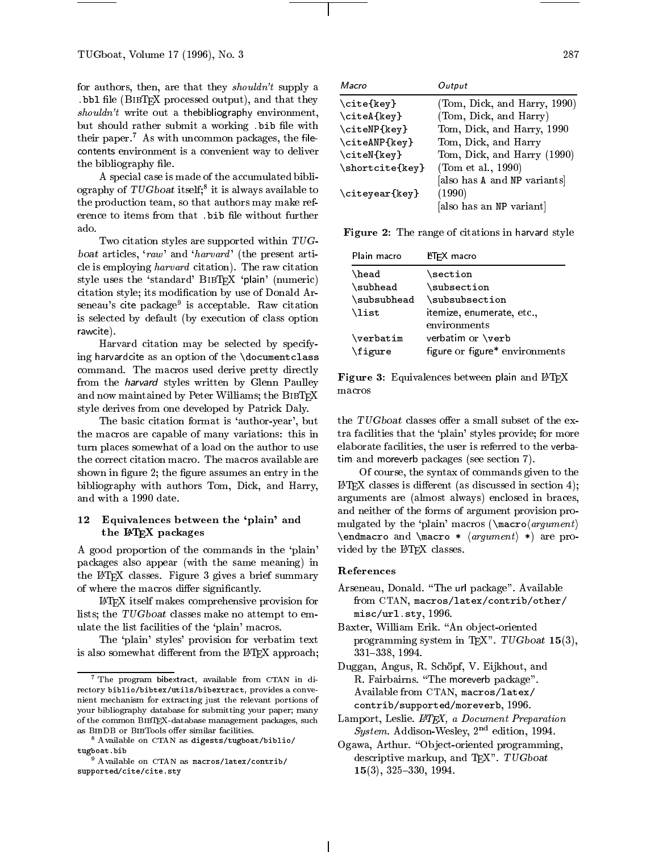for authors, then, are that they shouldn't supply a  $.$  bb1 file (BIBTEX processed output), and that they  $shouldn't$  write out a thebibliography environment, but should rather submit a working bib file with their paper.<sup>7</sup> As with uncommon packages, the file- $\sim$  contracts environment is a convenient way to deliver  $\sim$ the bibliography file.

A special case is made of the accumulated bibliography of  $I \cup G$  boat itself; it is always available to  $\langle \cdot, \cdot \rangle$ . the production team, so that authors may make reference to items from that .bib file without further ado

Two citation styles are supported within TUGboat articles, 'raw' and 'harvard' (the present article is employing harvard citation). The raw citation style uses the 'standard' BIBTEX 'plain' (numeric) citation style; its modication by use of Donald Arseneau's cite package<sup>9</sup> is acceptable. Raw citation is selected by default (by execution of class option rawcite).

Harvard citation may be selected by specifying harvardcite as an option of the \documentclass command. The macros used derive pretty directly from the harvard styles written by Glenn Paulley and now maintained by Peter Williams; the BIBTEX style derives from one developed by Patrick Daly.

The basic citation format is 'author-year', but the macros are capable of many variations: this in turn places somewhat of a load on the author to use the correct citation macro. The macros available are shown in figure 2; the figure assumes an entry in the bibliography with authors Tom, Dick, and Harry, and with a 1990 date.

# 12 Equivalences between the 'plain' and the LATEX packages

A good proportion of the commands in the `plain' packages also appear (with the same meaning) in the LATEX classes. Figure 3 gives a brief summary of where the macros differ significantly.

LATEX itself makes comprehensive provision for lists; the TUGboat classes make no attempt to emulate the list facilities of the `plain' macros.

The `plain' styles' provision for verbatim text is also somewhat different from the LAT<sub>F</sub>X approach;

| Macro           | Output                       |
|-----------------|------------------------------|
| \cite{key}      | (Tom, Dick, and Harry, 1990) |
| \citeA{key}     | (Tom, Dick, and Harry)       |
| \citeNP{key}    | Tom, Dick, and Harry, 1990   |
| \citeANP{key}   | Tom, Dick, and Harry         |
| \citeN{key}     | Tom, Dick, and Harry (1990)  |
| \shortcite{key} | (Tom et al., 1990)           |
|                 | [also has A and NP variants] |
| \citeyear{key}  | (1990)                       |
|                 | [also has an NP variant]     |

Figure 2: The range of citations in harvard style

| Plain macro                   | L <sup>A</sup> TEX macro                            |
|-------------------------------|-----------------------------------------------------|
| \head                         | $\verb \section $                                   |
| \subhead                      | \subsection                                         |
| \subsubhead                   | \subsubsection                                      |
| \list                         | itemize, enumerate, etc.,<br>environments           |
| $\verb \verbatim $<br>\figure | verbatim or \verb<br>figure or figure* environments |

Figure 3: Equivalences between plain and IATEX macros

the  $TUGboat$  classes offer a small subset of the extra facilities that the `plain' styles provide; for more elaborate facilities, the user is referred to the verbatim and moreverb packages (see section 7).

Of course, the syntax of commands given to the  $\LaTeX{}$  classes is different (as discussed in section 4); arguments are (almost always) enclosed in braces, and neither of the forms of argument provision pro mulgated by the 'plain' macros ( $\max_{argument}$ ) \endmacro and \macro \*  $\langle$  argument i \*) are provided by the IATEX classes.

# References

- Arseneau, Donald. \The url package". Available from CTAN, macros/latex/contrib/other/ misc/url.sty, 1996.
- Baxter, William Erik. "An object-oriented programming system in TEX".  $TUGboat$  15(3), 331{338, 1994.
- Duggan, Angus, R. Schöpf, V. Eijkhout, and R. Fairbairns. "The moreverb package". Available from CTAN, macros/latex/ contrib/supported/moreverb, 1996.
- Lamport, Leslie. L<sup>AT</sup>FX, a Document Preparation System. Addison-Wesley,  $2<sup>nd</sup>$  edition, 1994.
- Ogawa, Arthur. "Object-oriented programming, descriptive markup, and TEX". TUGboat  $15(3)$ ,  $325-330$ ,  $1994$ .

 $\overline{\phantom{a}}$  The program bibextract, available from  $\overline{\phantom{a}}$  CTAN in directory biblio/bibtex/utils/bibextract, provides a conve nient mechanism for extracting just the relevant portions of your bibliography database for submitting your paper; many of the common BibTEX-database management packages, such as BIBDB or BIBTools offer similar facilities.

<sup>8</sup> Available on CTAN as digests/tugboat/biblio/ tugboat.bib

<sup>9</sup> Available on CTAN as macros/latex/contrib/ supported/cite/cite.sty